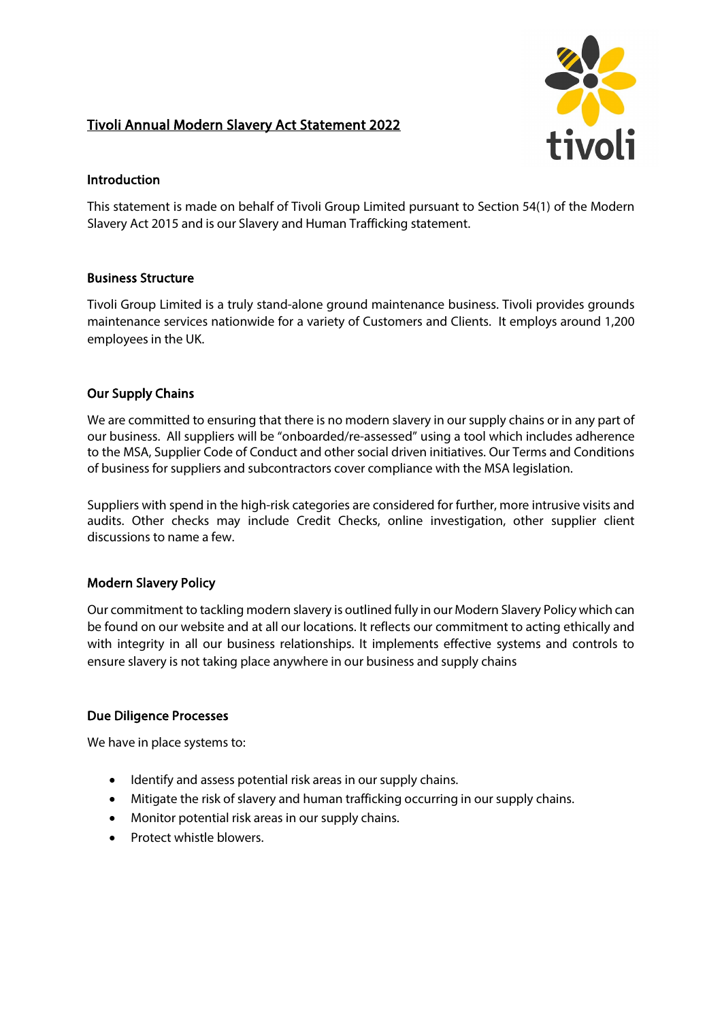# Tivoli Annual Modern Slavery Act Statement 2022



## Introduction

This statement is made on behalf of Tivoli Group Limited pursuant to Section 54(1) of the Modern Slavery Act 2015 and is our Slavery and Human Trafficking statement.

# Business Structure

Tivoli Group Limited is a truly stand-alone ground maintenance business. Tivoli provides grounds maintenance services nationwide for a variety of Customers and Clients. It employs around 1,200 employees in the UK.

# Our Supply Chains

We are committed to ensuring that there is no modern slavery in our supply chains or in any part of our business. All suppliers will be "onboarded/re-assessed" using a tool which includes adherence to the MSA, Supplier Code of Conduct and other social driven initiatives. Our Terms and Conditions of business for suppliers and subcontractors cover compliance with the MSA legislation.

Suppliers with spend in the high-risk categories are considered for further, more intrusive visits and audits. Other checks may include Credit Checks, online investigation, other supplier client discussions to name a few.

#### Modern Slavery Policy

Our commitment to tackling modern slavery is outlined fully in our Modern Slavery Policy which can be found on our website and at all our locations. It reflects our commitment to acting ethically and with integrity in all our business relationships. It implements effective systems and controls to ensure slavery is not taking place anywhere in our business and supply chains

#### Due Diligence Processes

We have in place systems to:

- Identify and assess potential risk areas in our supply chains.
- Mitigate the risk of slavery and human trafficking occurring in our supply chains.
- Monitor potential risk areas in our supply chains.
- Protect whistle blowers.